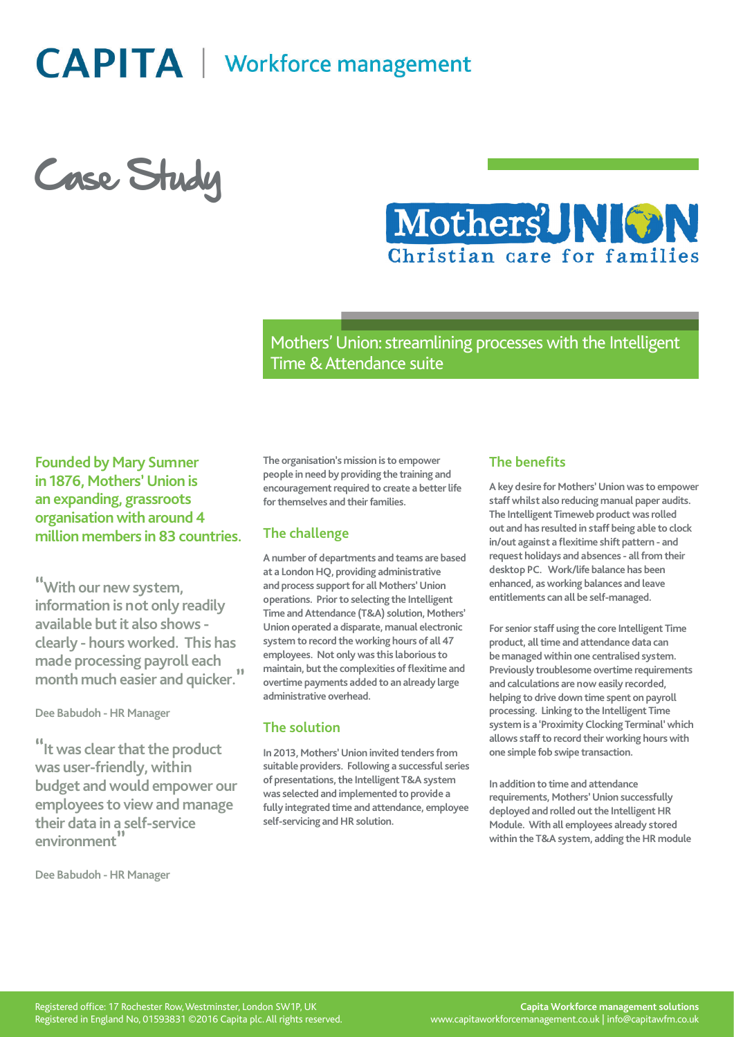**CAPITA** | Workforce management

Case Study



Mothers' Union: streamlining processes with the Intelligent Time & Attendance suite

# **Founded by Mary Sumner in 1876, Mothers' Union is an expanding, grassroots organisation with around 4 million members in 83 countries.**

**"With our new system, information is not only readily available but it also shows clearly - hours worked. This has made processing payroll each month much easier and quicker."**

**Dee Babudoh - HR Manager**

**"It was clear that the product was user-friendly, within budget and would empower our employees to view and manage their data in a self-service environment"**

**Dee Babudoh - HR Manager**

**The organisation's mission is to empower people in need by providing the training and encouragement required to create a better life for themselves and their families.**

### **The challenge**

**A number of departments and teams are based at a London HQ, providing administrative and process support for all Mothers' Union operations. Prior to selecting the Intelligent Time and Attendance (T&A) solution, Mothers' Union operated a disparate, manual electronic system to record the working hours of all 47 employees. Not only was this laborious to maintain, but the complexities of flexitime and overtime payments added to an already large administrative overhead.**

### **The solution**

**In 2013, Mothers' Union invited tenders from suitable providers. Following a successful series of presentations, the Intelligent T&A system was selected and implemented to provide a fully integrated time and attendance, employee self-servicing and HR solution.**

### **The benefits**

**A key desire for Mothers' Union was to empower staff whilst also reducing manual paper audits. The Intelligent Timeweb product was rolled out and has resulted in staff being able to clock in/out against a flexitime shift pattern - and request holidays and absences - all from their desktop PC. Work/life balance has been enhanced, as working balances and leave entitlements can all be self-managed.**

**For senior staff using the core Intelligent Time product, all time and attendance data can be managed within one centralised system. Previously troublesome overtime requirements and calculations are now easily recorded, helping to drive down time spent on payroll processing. Linking to the Intelligent Time system is a 'Proximity Clocking Terminal' which allows staff to record their working hours with one simple fob swipe transaction.**

**In addition to time and attendance requirements, Mothers' Union successfully deployed and rolled out the Intelligent HR Module. With all employees already stored within the T&A system, adding the HR module**